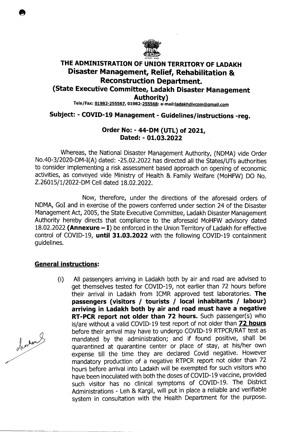

## **THE ADMINISTRATION OF UNION TERRITORY OF LADAKH Disaster Management, Relief, Rehabilitation & Reconstruction Department. (State Executive Committee, Ladakh Disaster Management Authority)**  Tele/Fax: 01982-255567, 01982-255568: e-mail:ladakhdivcom@gmail.com

# **Subject:** - **COVID-19 Management** - **Guidelines/instructions -reg.**

## **Order No:** - **44-DM (UTL) of 2021, Dated:** - **01.03.2022**

Whereas, the National Disaster Management Authority, (NDMA) vide Order No.40-3/2020-DM-I(A) dated: -25.02.2022 has directed all the States/UTs authorities to consider implementing a risk assessment based approach on opening of economic activities, as conveyed vide Ministry of Health & Family Welfare (M0HFW) DO No. Z.26015/1/2022-DM Cell dated 18.02.2022.

Now, therefore, under the directions of the aforesaid orders of NDMA, GoT and in exercise of the powers conferred under section 24 of the Disaster Management Act, 2005, the State Executive Committee, Ladakh Disaster Management Authority hereby directs that compliance to the aforesaid MoHFW advisory dated 18.02.2022 **(Annexure — I)** be enforced in the Union Territory of Ladakh for effective control of COVTD-19, **until 31.03.2022** with the following COVTD-19 containment guidelines.

### **General instructions:**

(i) All passengers arriving in Ladakh both by air and road are advised to get themselves tested for COVTD-19, not earlier than 72 hours before their arrival in Ladakh from TCMR approved test laboratories. **The passengers (visitors** / **tourists** / **local inhabitants I labour) arriving in Ladakh both by air and road must have a negative RT-PCR report not older than 72 hours.** Such passenger(s) who is/are without a valid COVTD-19 test report of not older than **72 hours**  before their arrival may have to undergo COVTD-19 RTPCR/RAT test as mandated by the administration; and if found positive, shall be quarantined at quarantine center or place of stay, at his/her own expense till the time they are declared Covid negative. However mandatory production of a negative RTPCR report not older than 72 hours before arrival into Ladakh will be exempted for such visitors who have been inoculated with both the doses of COVTD-19 vaccine, provided such visitor has no clinical symptoms of COVID-19. The District Administrations - Leh & Kargil, will put in place a reliable and verifiable system in consultation with the Health Department for the purpose.

de den

**0**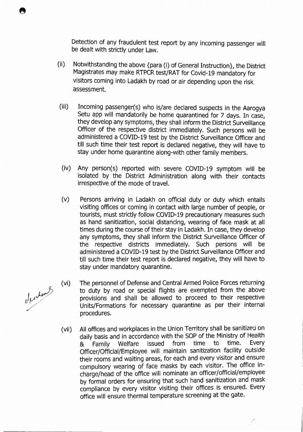Detection of any fraudulent test report by any incoming passenger will be dealt with strictly under Law.

- (ii) Notwithstanding the above {para (I) of General Instruction}, the District Magistrates may make RTPCR test/RAT for Covid-19 mandatory for visitors coming into Ladakh by road or air depending upon the risk assessment.
- (iii) Incoming passenger(s) who is/are declared suspects in the Aarogya Setu app will mandatorily be home quarantined for 7 days. In case, they develop any symptoms, they shall inform the District Surveillance Officer of the respective district immediately. Such persons will be administered a COVID-19 test by the District Surveillance Officer and till such time their test report is declared negative, they will have to stay under home quarantine along-with other family members.
- (iv) Any person(s) reported with severe COVID-19 symptom will be isolated by the District Administration along with their contacts irrespective of the mode of travel.
- (v) Persons arriving in Ladakh on official duty or duty which entails visiting offices or coming in contact with large number of people, or tourists, must strictly follow COVID-19 precautionary measures such as hand sanitization, social distancing, wearing of face mask at all times during the course of their stay in Ladakh. In case, they develop any symptoms, they shall inform the District Surveillance Officer of the respective districts immediately. Such persons will be administered a COVID-19 test by the District Surveillance Officer and till such time their test report is declared negative, they will have to stay under mandatory quarantine.
- (vi) The personnel of Defense and Central Armed Police Forces returning to duty by road or special flights are exempted from the above provisions and shall be allowed to proceed to their respective Units/Formations for necessary quarantine as per their internal procedures.
- (vii) All offices and workplaces in the Union Territory shall be sanitized on daily basis and in accordance with the SOP of the Ministry of Health & Family Welfare issued from time to time. Every Officer/Official/Employee will maintain sanitization facility outside their rooms and waiting areas, for each and every visitor and ensure compulsory wearing of face masks by each visitor. The office incharge/head of the office will nominate an officer/official/employee by formal orders for ensuring that such hand sanitization and mask compliance by every visitor visiting their offices is ensured. Every office will ensure thermal temperature screening at the gate.

derdent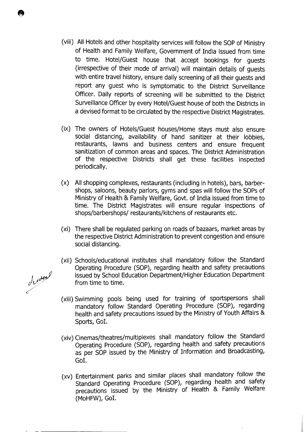- (viii) All Hotels and other hospitality services will follow the SOP of Ministry of Health and Family Welfare, Government of India issued from time to time. Hotel/Guest house that accept bookings for guests (irrespective of their mode of arrival) will maintain details of guests with entire travel history, ensure daily screening of all their guests and report any guest who is symptomatic to the District Surveillance Officer. Daily reports of screening will be submitted to the District Surveillance Officer by every Hotel/Guest house of both the Districts in a devised format to be circulated by the respective District Magistrates.
- (ix) The owners of Hotels/Guest houses/Home stays must also ensure social distancing, availability of hand sanitizer at their lobbies, restaurants, lawns and business centers and ensure frequent sanitization of common areas and spaces. The District Administration of the respective Districts shall get these facilities inspected periodically.
- (x) All shopping complexes, restaurants (including in hotels), bars, barbershops, saloons, beauty parlors, gyms and spas will follow the SOPs of Ministry of Health & Family Welfare, Govt. of India issued from time to time. The District Magistrates will ensure regular inspections of shops/barbershops/ restaurants/kitchens of restaurants etc.
- (xi) There shall be regulated parking on roads of bazaars, market areas by the respective District Administration to prevent congestion and ensure social distancing.
- (xii) Schools/educational institutes shall mandatory follow the Standard Operating Procedure (SOP), regarding health and safety precautions issued by School Education Department/Higher Education Department from time to time.
- (xiii) Swimming pools being used for training of sportspersons shall mandatory follow Standard Operating Procedure (SOP), regarding health and safety precautions issued by the Ministry of Youth Affairs & Sports, GoT.
- (xiv) Cinemas/theatres/multiplexes shall mandatory follow the Standard Operating Procedure (SOP), regarding health and safety precautions as per SOP issued by the Ministry of Information and Broadcasting, GoT.
- (xv) Entertainment parks and similar places shall mandatory follow the Standard Operating Procedure (SOP), regarding health and safety precautions issued by the Ministry of Health & Family Welfare (M0HFW), GoT.

described

 $\bullet$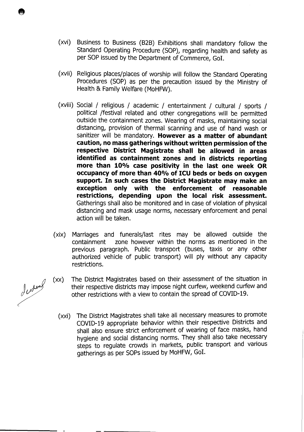- (xvi) Business to Business (B2B) Exhibitions shall mandatory follow the Standard Operating Procedure (SOP), regarding health and safety as per SOP issued by the Department of Commerce, Gol.
- (xvii) Religious places/places of worship will follow the Standard Operating Procedures (SOP) as per the precaution issued by the Ministry of Health & Family Welfare (M0HFW).
- (xviii) Social / religious / academic / entertainment / cultural / sports / political /festival related and other congregations will be permitted outside the containment zones. Wearing of masks, maintaining social distancing, provision of thermal scanning and use of hand wash or sanitizer will be mandatory. **However as a matter of abundant caution, no mass gatherings without written permission of the respective District Magistrate shall be allowed in areas identified as containment zones and in districts reporting more than 10% case positivity in the last one week OR occupancy of more than 40% of ICU beds or beds on oxygen support. In such cases the District Magistrate may make an exception only with the enforcement of reasonable restrictions, depending upon the local risk assessment.**  Gatherings shall also be monitored and in case of violation of physical distancing and mask usage norms, necessary enforcement and penal action will be taken.
- (xix) Marriages and funerals/last rites may be allowed outside the containment zone however within the norms as mentioned in the previous paragraph. Public transport (buses, taxis or any other authorized vehicle of public transport) will ply without any capacity restrictions.
- (xx) The District Magistrates based on their assessment of the situation in their respective districts may impose night curfew, weekend curfew and other restrictions with a view to contain the spread of COVID-19.
	- (xxi) The District Magistrates shall take all necessary measures to promote COVID-19 appropriate behavior within their respective Districts and shall also ensure strict enforcement of wearing of face masks, hand hygiene and social distancing norms. They shall also take necessary steps to regulate crowds in markets, public transport and various gatherings as per SOPs issued by M0HFW, GoT.

dudent

 $\bullet$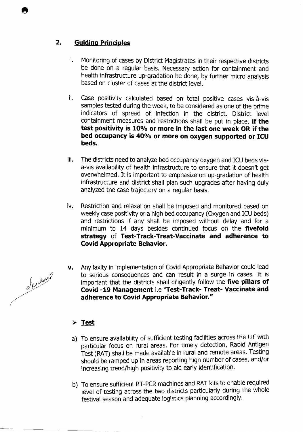## **2. Guiding Principles**

- i. Monitoring of cases by District Magistrates in their respective districts be done on a regular basis. Necessary action for containment and health infrastructure up-gradation be done, by further micro analysis based on cluster of cases at the district level.
- ii. Case positivity calculated based on total positive cases vis-à-vis samples tested during the week, to be considered as one of the prime indicators of spread of infection in the district. District level containment measures and restrictions shall be put in place, **if the test positivity is 10% or more in the last one week OR if the bed occupancy is 40% or more on oxygen supported or ICU beds.**
- iii. The districts need to analyze bed occupancy oxygen and ICU beds visa-vis availability of health infrastructure to ensure that it doesn't get overwhelmed. It is important to emphasize on up-gradation of health infrastructure and district shall plan such upgrades after having duly analyzed the case trajectory on a regular basis.
- iv. Restriction and relaxation shall be imposed and monitored based on weekly case positivity or a high bed occupancy (Oxygen and ICU beds) and restrictions if any shall be imposed without delay and for a minimum to 14 days besides continued focus on the **fivefold strategy of Test-Track-Treat-Vaccinate and adherence to Covid Appropriate Behavior.**
- v. Any laxity in implementation of Covid Appropriate Behavior could lead to serious consequences and can result in a surge in cases. It is important that the districts shall diligently follow the **five pillars of Covid -19 Management i.e "Test-Track- Treat- Vaccinate and adherence to Covid Appropriate Behavior."**

# **Test**

- a) To ensure availability of sufficient testing facilities across the UT with particular focus on rural areas. For timely detection, Rapid Antigen Test (RAT) shall be made available in rural and remote areas. Testing should be ramped up in areas reporting high number of cases, and/or increasing trend/high positivity to aid early identification.
- b) To ensure sufficient RT-PCR machines and RAT kits to enable required level of testing across the two districts particularly during the whole festival season and adequate logistics planning accordingly.

Jurney

 $\bullet$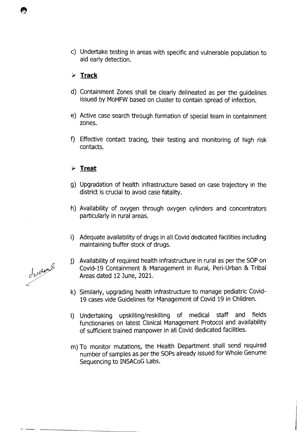C) Undertake testing in areas with specific and vulnerable population to aid early detection.

### > **Track**

- d) Containment Zones shall be clearly delineated as per the guidelines issued by MoHFW based on cluster to contain spread of infection.
- e) Active case search through formation of special team in containment zones.
- f) Effective contact tracing, their testing and monitoring of high risk contacts.

### **Treat**

- g) Upgradation of health infrastructure based on case trajectory in the district is crucial to avoid case fatality.
- h) Availability of oxygen through oxygen cylinders and concentrators particularly in rural areas.
- i) Adequate availability of drugs in all Covid dedicated facilities including maintaining buffer stock of drugs.

j) Availability of required health infrastructure in rural as per the SOP on Covid-19 Containment & Management in Rural, Pen-Urban & Tribal Areas dated 12 June, 2021.

- k) Similarly, upgrading health infrastructure to manage pediatric Covid-19 cases vide Guidelines for Management of Covid 19 in Children.
- I) Undertaking upskilling/reskilling of medical staff and fields functionaries on latest Clinical Management Protocol and availability of sufficient trained manpower in all Covid dedicated facilities.
- m) To monitor mutations, the Health Department shall send required number of samples as per the SOPs already issued for Whole Genome Sequencing to INSACoG Labs.

duding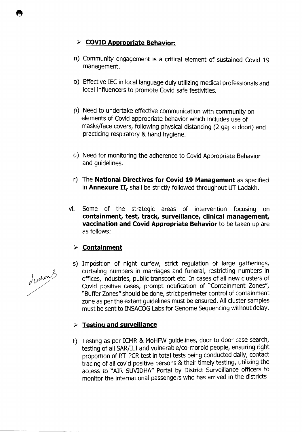# **COVID Appropriate Behavior:**

- n) Community engagement is a critical element of sustained Covid 19 management.
- 0) Effective IEC in local language duly utilizing medical professionals and local influencers to promote Covid safe festivities.
- p) Need to undertake effective communication with community on elements of Covid appropriate behavior which includes use of masks/face covers, following physical distancing (2 gaj ki doori) and practicing respiratory & hand hygiene.
- q) Need for monitoring the adherence to Covid Appropriate Behavior and guidelines.
- r) The **National Directives for Covid 19 Management** as specified in **Annexure H,** shall be strictly followed throughout UT Ladakh.
- vi. Some of the strategic areas of intervention focusing on **containment, test, track, surveillance, clinical management, vaccination and Covid Appropriate Behavior** to be taken up are as follows:

# > **Containment**

s) Imposition of night curfew, strict regulation of large gatherings, curtailing numbers in marriages and funeral, restricting numbers in offices, industries, public transport etc. In cases of all new clusters of Covid positive cases, prompt notification of "Containment Zones", "Buffer Zones" should be done, strict perimeter control of containment zone as per the extant guidelines must be ensured. All cluster samples must be sent to INSACOG Labs for Genome Sequencing without delay.

# **Testing and surveillance**

t) Testing as per ICMR & MoHFW guidelines, door to door case search, testing of all SAR/ILI and vulnerable/co-morbid people, ensuring right proportion of RT-PCR test in total tests being conducted daily, contact tracing of all covid positive persons & their timely testing, utilizing the access to "AIR SUVIDHA" Portal by District Surveillance officers to monitor the international passengers who has arrived in the districts

dudent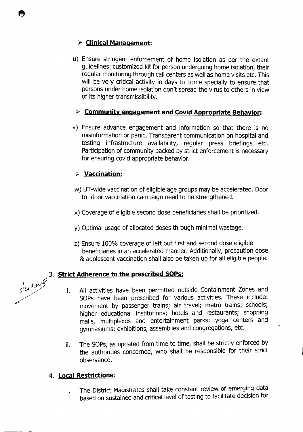# **Clinical Management:**

u) Ensure stringent enforcement of home isolation as per the extant guidelines: customized kit for person undergoing home isolation, their regular monitoring through call centers as well as home visits etc. This will be very critical activity in days to come specially to ensure that persons under home isolation don't spread the virus to others in view of its higher transmissibility.

## > **Community engagement and Covid Appropriate Behavior:**

v) Ensure advance engagement and information so that there is no misinformation or panic. Transparent communication on hospital and testing infrastructure availability, regular press briefings etc. Participation of community backed by strict enforcement is necessary for ensuring covid appropriate behavior.

# **Vaccination:**

- w) UT-wide vaccination of eligible age groups may be accelerated. Door to door vaccination campaign need to be strengthened.
- x) Coverage of eligible second dose beneficiaries shall be prioritized.
- y) Optimal usage of allocated doses through minimal wastage.
- z) Ensure 100% coverage of left out first and second dose eligible beneficiaries in an accelerated manner. Additionally, precaution dose & adolescent vaccination shall also be taken up for all eligible people.

### 3. **Strict Adherence to the prescribed SOPs:**

- All activities have been permitted outside Containment Zones and i. SOPs have been prescribed for various activities. These include: movement by passenger trains; air travel; metro trains; schools; higher educational institutions; hotels and restaurants; shopping malls, multiplexes and entertainment parks; yoga centers and gymnasiums; exhibitions, assemblies and congregations, etc.
- The SOPs, as updated from time to time, shall be strictly enforced by ii. the authorities concerned, who shall be responsible for their strict observance.

### 4. **Local Restrictions:**

i. The District Magistrates shall take constant review of emerging data based on sustained and critical level of testing to facilitate decision for

duding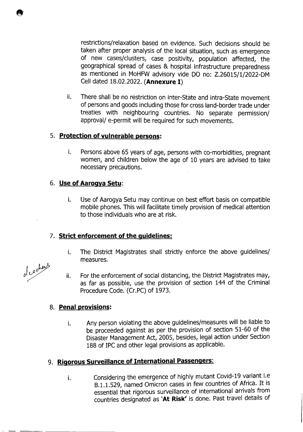restrictions/relaxation based on evidence. Such decisions should be taken after proper analysis of the local situation, such as emergence of new cases/clusters, case positivity, population affected, the geographical spread of cases & hospital infrastructure preparedness as mentioned in MoHFW advisory vide DO no: Z.26015/1/2022-DM Cell dated 18.02.2022. **(Annexure I)** 

ii. There shall be no restriction on inter-State and intra-State movement of persons and goods including those for cross land-border trade under treaties with neighbouring countries. No separate permission/ approval/ e-permit will be required for such movements.

### **5. Protection of vulnerable persons:**

i. Persons above 65 years of age, persons with co-morbidities, pregnant women, and children below the age of 10 years are advised to take necessary precautions.

### **6. Use of Aarogya Setu:**

i. Use of Aarogya Setu may continue on best effort basis on compatible mobile phones. This will facilitate timely provision of medical attention to those individuals who are at risk.

### **7. Strict enforcement of the guidelines:**

- i. The District Magistrates shall strictly enforce the above guidelines/ measures.
- ii. For the enforcement of social distancing, the District Magistrates may, as far as possible, use the provision of section 144 of the Criminal Procedure Code. (Cr.PC) of 1973.

### **8. Penal provisions:**

Any person violating the above guidelines/measures will be liable to i. be proceeded against as per the provision of section 51-60 of the Disaster Management Act, 2005, besides, legal action under Section 188 of IPC and other legal provisions as applicable.

# **9. Rigorous Surveillance of International Passengers:**

Considering the emergence of highly mutant Covid-19 variant i.e i. B.1.1.529, named Omicron cases in few countries of Africa. It is essential that rigorous surveillance of international arrivals from countries designated as **'At Risk'** is done. Past travel details of

of cocher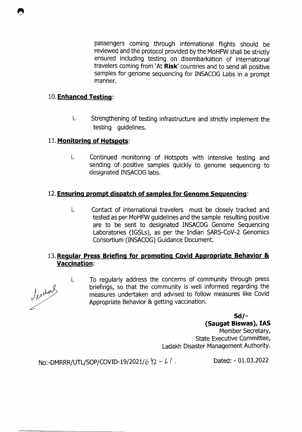passengers coming through international flights should be reviewed and the protocol provided by the M0HFW shall be strictly ensured including testing on disembarkation of international travelers coming from 'At **Risk'** countries and to send all positive samples for genome sequencing for INSACOG Labs in a prompt manner.

#### **10. Enhanced Testinq:**

i. Strengthening of testing infrastructure and strictly implement the testing guidelines.

#### **11. Monitoring of Hotspots:**

i. Continued monitoring of Hotspots with intensive testing and sending of positive samples quickly to genome sequencing to designated INSACOG labs.

### **12. Ensuring prompt dispatch of samples for Genome Sequencinq:**

i. Contact of international travelers must be closely tracked and tested as per M0HFW guidelines and the sample resulting positive are to be sent to designated INSACOG Genome Sequencing Laboratories (IGSLs), as per the Indian SARS-CoV-2 Genomics Consortium (INSACOG) Guidance Document.

## **13. Regular Press Briefing for promoting Covid Appropriate Behavior** & **Vaccination:**

Jeskers

i.

To regularly address the concerns of community through press briefings, so that the community is well informed regarding the measures undertaken and advised to follow measures like Covid Appropriate Behavior & getting vaccination.

**Sd/-**

**(Saugat Biswas), lAS**  Member Secretary, State Executive Committee, Ladakh Disaster Management Authority.

No:-DMRRR/UTL/SOP/COVID-19/2021/6  $42 - 61$ . Dated: - 01.03.2022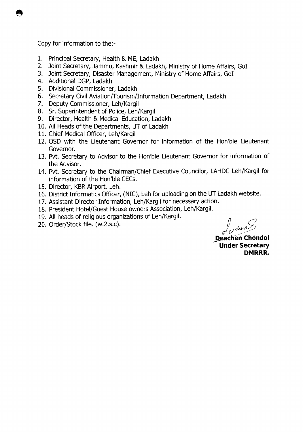Copy for information to the:-

- 1. Principal Secretary, Health & ME, Ladakh
- 2. Joint Secretary, Jammu, Kashmir & Ladakh, Ministry of Home Affairs, GoT
- 3. Joint Secretary, Disaster Management, Ministry of Home Affairs, GoT
- 4. Additional DGP, Ladakh
- 5. Divisional Commissioner, Ladakh
- 6. Secretary Civil Aviation/Tourism/Information Department, Ladakh
- 7. Deputy Commissioner, Leh/Kargil
- 8. Sr. Superintendent of Police, Leh/Kargil
- 9. Director, Health & Medical Education, Ladakh
- 10. All Heads of the Departments, UT of Ladakh
- 11. Chief Medical Officer, Leh/Kargil
- 12. OSD with the Lieutenant Governor for information of the Hon'ble Lieutenant Governor.
- 13. Pvt. Secretary to Advisor to the Hon'ble Lieutenant Governor for information of the Advisor.
- 14. Pvt. Secretary to the Chairman/Chief Executive Councilor, LAHDC Leh/Kargil for information of the Hon'ble CECs.
- 15. Director, KBR Airport, Leh.
- 16. District Informatics Officer, (NIC), Leh for uploading on the UT Ladakh website.
- 17. Assistant Director Information, Leh/Kargil for necessary action.
- 18. President Hotel/Guest House owners Association, Leh/Kargil.
- 19. All heads of religious organizations of Leh/Kargil.
- 20. Order/Stock file. (w.2.s.c).

exchent

**Deachen Chondol Under Secretary DMRRR.**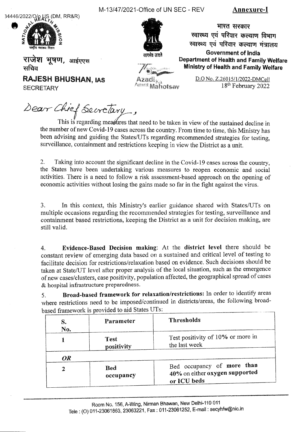$34446/2022/QQ$  US (DM, RR&R)



M-13/47/202 1-Office of UN SEC - REV **Annexu re-I** 

सत्समेव जय

भारत सरकार स्वास्थ्य एवं परिवार कल्याण विभाग स्वास्थ्य एवं परिवार कल्याण मंत्रालय **Government of India Department of Health and Family Welfare Ministry of Health and Family Welfare** 

**राजेश भूषण**, आईएएस<br>सचिव

**RAJESH BHUSHAN, lAS SECRETARY** 

zac Amrii Mahotsav

D.O No. Z.26015/1/2022-DMCell 18<sup>th</sup> February 2022

Dear Chief Secretary,

This is regarding measures that need to be taken in view of the sustained decline in the number of new Covid-19 cases across the country. From time to time, this Ministry has been advising and guiding the States/UTs regarding recommended strategies for testing, surveillance, containment and restrictions keeping in view the District as a unit.

2. Taking into account the significant decline in the Covid-19 cases across the country, the States have been undertaking various measures to reopen economic and social activities. There is a need to follow a risk assessment-based approach on the opening of economic activities without losing the gains made so far in the fight against the virus.

3. In this context, this Ministry's earlier guidance shared with States/UTs on multiple occasions regarding the recommended strategies for testing, surveillance and containment based restrictions, keeping the District as a unit for decision making, are still valid.

**4. Evidence-Based Decision making:** At the **district level** there should be constant review of emerging data based on a sustained and critical level of testing to facilitate decision for restrictions/relaxation based on evidence. Such decisions should be taken at State/UT level after proper analysis of the local situation, such as the emergence of new cases/clusters, case positivity, population affected, the geographical spread of cases & hospital infrastructure preparedness.

**5. Broad-based framework for relaxation/restrictions:** In order to identify areas where restrictions need to be imposed/continued in districts/areas, the following broadbased framework is provided to aid States UTs:

| S.<br>No. | Parameter                 | <b>Thresholds</b>                                                           |
|-----------|---------------------------|-----------------------------------------------------------------------------|
|           | <b>Test</b><br>positivity | Test positivity of 10% or more in<br>the last week                          |
| OR.       |                           |                                                                             |
|           | <b>Bed</b><br>occupancy   | Bed occupancy of more than<br>40% on either oxygen supported<br>or ICU beds |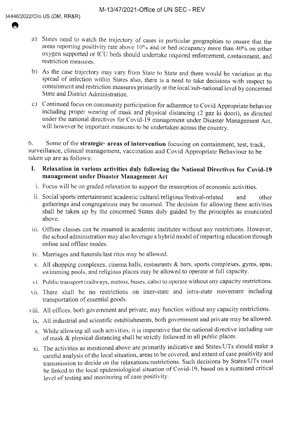- a) States need to watch the trajectory of cases in particular geographies to ensure that the areas reporting *positivitv* rate above 10% andor bed occupancy more than 40% on either oxygen supported or ICU beds should undertake required enforcement, containment, and restriction measures.
- b) As the case trajectory may vary from State to State and there would be variation in the spread of infection within States also, there is a need to take decisions with respect to containment and restriction measures primarily at the local/sub-national level by concerned State and District Administration.
- c) Continued focus on community participation for adherence to Covid Appropriate behavior including proper wearing of mask and physical distancing (2 gaz ki doori), as directed under the national directives for Covid-19 management under Disaster Management Act, will however be important measures to be undertaken across the country.

6. Some of the **strategic areas of intervention** focusing on containment, test, track, surveillance, clinical management, vaccination and Covid Appropriate Behaviour to he taken up are as follows:

- **I.** Relaxation in various activities duly following the National Directives for Covid-19 **management under Disaster Management Act** 
	- 1. Focus will he on graded relaxation to support the resumption of economic activities.
- ii. Social/sports/entertainment/academic/cultural/religious/festival-related and other gatherings and congregations may he resumed. The decision for allowing these activities shall be taken up by the concerned States duly guided by the principles as enunciated above.
- iii. Offline classes can be resumed in academic institutes without any restrictions. However, the school administration may also leverage a hybrid model of imparting education through online and offline modes.
- iv. Marriages and funerals/last rites may be allowed.
- v. All shopping complexes, cinema halls, restaurants & bars, sports complexes, gyms, spas, swimming pools. and religious places may he allowed to operate at full capacity.
- vi. Publjc transport (railways, metros, buses, cabs) to operate without any capacity restrictions.
- vii. There shall be no restrictions on inter-state and intra-state movement including transportation of essential goods.
- viii. All offices. both government and private, may function without any capacity restrictions.
- ix. All industrial and scientific establishments, both government and private may be allowed.
- x. While allowing all such activities, it is imperative that the national directive including use of mask & physical distancing shall he strictly followed in all public places.
- xi. The activities as mentioned above are primarily indicative and States/UTs should make a careful analysis of the local situation, areas to he covered, and extent of case positivity and transmission to decide on the relaxations/restrictions. Such decisions by States/UTs must he linked to the local epidemiological situation of Covid-19, based on a sustained critical level of testing and monitoring of case positivity.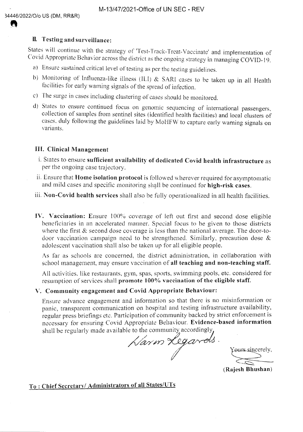#### **IL Testing and surveillance:**

States will continue with the strategy of 'Test-Track-Treat-Vaccinate' and implementation of ('ovid Appropriate Behavior across the district as the ongoing *strategy in* managing COVID- 19.

- a) Ensure sustained critical level of testing as per the testing guidelines.
- h) Monitoring of Influenza-like illness (iLl) & SARI eases to be taken up in all Health facilities for early warning signals of the spread of infection.
- c) The surze in cases including clustering of cases should he monitored.
- d) States to ensure continued focus on genomic sequencing of international passengers, collection of samples from sentinel sites (identified health facilities) and local clusters of cases, duly following the guidelines laid by MoHFW to capture early warning signals on variants

#### **III. Clinical Management**

- i. States to ensure **sufficient availability of dedicated Covid health infrastructure** as per the ongoing ease trajectory.
- ii. Ensure that **Home isolation protocol** is folloved wherever required for asymptomatic and mild cases and specific monitoring shall be continued for **high-risk cases**.
- **iii. Non-Covid health services** shall also be fully operationalized in all health facilities.
- **IV. Vaccination:** Ensure 100% coverage of left out first and second dose eligible beneficiaries in an accelerated manner, Special focus to he given to those districts where the first & second dose coverage is less than the national average. The door-todoor vaccination campaign need to be strengthened. Similarly, precaution dose & adolescent vaccination shall also be taken up for all eligible people.

As far as schools are concerned, the district administration, in collaboration with school management, may ensure vaccination of all teaching and non-teaching staff.

All activities, like restaurants, gym, spas, sports, swimming pools, etc. considered for resumption of services shall promote 100% vaccination of **the eligible staff.** 

#### **V. Community engagement and Covid Appropriate Behaviour:**

Ensure advance engagement and information so that there is no misinformation or panic, transparent communication on hospital and testing infrastructure availability, regular press briefings etc. Participation of community backed by strict enforcement is necessary for ensuring Covid Appropriate Behaviour. **Evidence-based information**  shall be regularly made available to the community accordingly

Karm Legards.

Yours sincerely,

**(Rajesh Bhushan)** 

# *To : Chief Secretary!* **Administrators of all States/UTs**